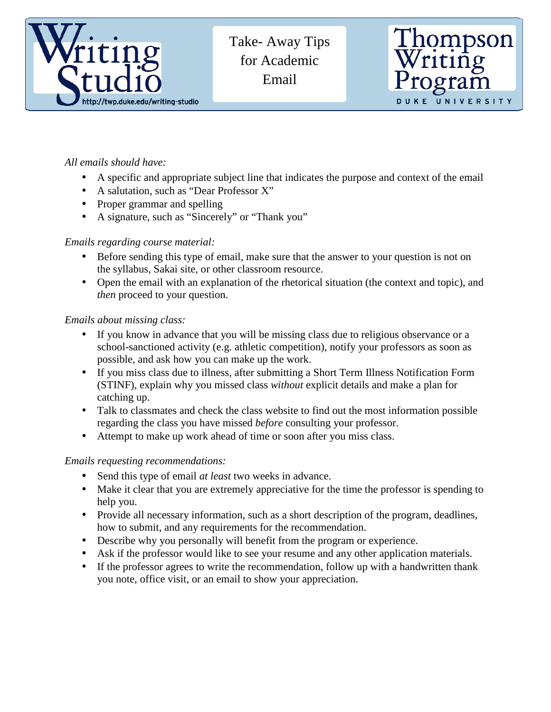

 Take- Away Tips for Academic Email



## *All emails should have:*

- A specific and appropriate subject line that indicates the purpose and context of the email
- A salutation, such as "Dear Professor X"
- Proper grammar and spelling
- A signature, such as "Sincerely" or "Thank you"

## *Emails regarding course material:*

- Before sending this type of email, make sure that the answer to your question is not on the syllabus, Sakai site, or other classroom resource.
- Open the email with an explanation of the rhetorical situation (the context and topic), and *then* proceed to your question.

## *Emails about missing class:*

- If you know in advance that you will be missing class due to religious observance or a school-sanctioned activity (e.g. athletic competition), notify your professors as soon as possible, and ask how you can make up the work.
- If you miss class due to illness, after submitting a Short Term Illness Notification Form (STINF), explain why you missed class *without* explicit details and make a plan for catching up.
- Talk to classmates and check the class website to find out the most information possible regarding the class you have missed *before* consulting your professor.
- Attempt to make up work ahead of time or soon after you miss class.

## *Emails requesting recommendations:*

- Send this type of email *at least* two weeks in advance.
- Make it clear that you are extremely appreciative for the time the professor is spending to help you.
- Provide all necessary information, such as a short description of the program, deadlines, how to submit, and any requirements for the recommendation.
- Describe why you personally will benefit from the program or experience.
- Ask if the professor would like to see your resume and any other application materials.
- If the professor agrees to write the recommendation, follow up with a handwritten thank you note, office visit, or an email to show your appreciation.